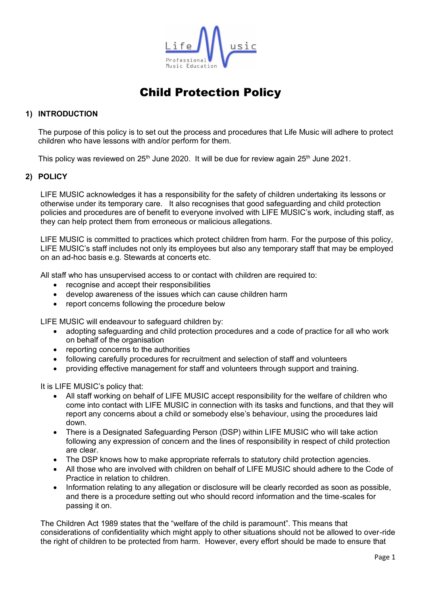

## **1) INTRODUCTION**

The purpose of this policy is to set out the process and procedures that Life Music will adhere to protect children who have lessons with and/or perform for them.

This policy was reviewed on 25<sup>th</sup> June 2020. It will be due for review again 25<sup>th</sup> June 2021.

### **2) POLICY**

LIFE MUSIC acknowledges it has a responsibility for the safety of children undertaking its lessons or otherwise under its temporary care. It also recognises that good safeguarding and child protection policies and procedures are of benefit to everyone involved with LIFE MUSIC's work, including staff, as they can help protect them from erroneous or malicious allegations.

LIFE MUSIC is committed to practices which protect children from harm. For the purpose of this policy, LIFE MUSIC's staff includes not only its employees but also any temporary staff that may be employed on an ad-hoc basis e.g. Stewards at concerts etc.

All staff who has unsupervised access to or contact with children are required to:

- recognise and accept their responsibilities
- develop awareness of the issues which can cause children harm
- report concerns following the procedure below

LIFE MUSIC will endeavour to safeguard children by:

- adopting safeguarding and child protection procedures and a code of practice for all who work on behalf of the organisation
- reporting concerns to the authorities
- following carefully procedures for recruitment and selection of staff and volunteers
- providing effective management for staff and volunteers through support and training.

It is LIFE MUSIC's policy that:

- All staff working on behalf of LIFE MUSIC accept responsibility for the welfare of children who come into contact with LIFE MUSIC in connection with its tasks and functions, and that they will report any concerns about a child or somebody else's behaviour, using the procedures laid down.
- There is a [Designated Safeguarding Person](http://www.abrsm.org/?page=help/childProtection3.html) (DSP) within LIFE MUSIC who will take action following any expression of concern and the lines of responsibility in respect of child protection are clear.
- The DSP knows how to make appropriate referrals to statutory child protection agencies.
- All those who are involved with children on behalf of LIFE MUSIC should adhere to the Code of Practice in relation to children.
- Information relating to any allegation or disclosure will be clearly recorded as soon as possible, and there is a procedure setting out who should record information and the time-scales for passing it on.

The Children Act 1989 states that the "welfare of the child is paramount". This means that considerations of confidentiality which might apply to other situations should not be allowed to over-ride the right of children to be protected from harm. However, every effort should be made to ensure that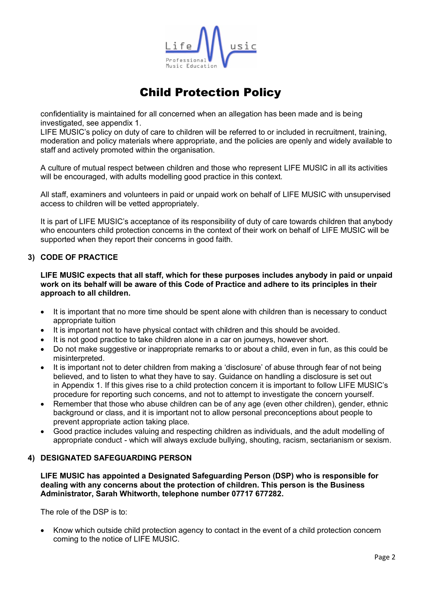

confidentiality is maintained for all concerned when an allegation has been made and is being investigated, see appendix 1.

LIFE MUSIC's policy on duty of care to children will be referred to or included in recruitment, training, moderation and policy materials where appropriate, and the policies are openly and widely available to staff and actively promoted within the organisation.

A culture of mutual respect between children and those who represent LIFE MUSIC in all its activities will be encouraged, with adults modelling good practice in this context.

All staff, examiners and volunteers in paid or unpaid work on behalf of LIFE MUSIC with unsupervised access to children will be vetted appropriately.

It is part of LIFE MUSIC's acceptance of its responsibility of duty of care towards children that anybody who encounters child protection concerns in the context of their work on behalf of LIFE MUSIC will be supported when they report their concerns in good faith.

### **3) CODE OF PRACTICE**

**LIFE MUSIC expects that all staff, which for these purposes includes anybody in paid or unpaid work on its behalf will be aware of this Code of Practice and adhere to its principles in their approach to all children.**

- It is important that no more time should be spent alone with children than is necessary to conduct appropriate tuition
- It is important not to have physical contact with children and this should be avoided.
- It is not good practice to take children alone in a car on journeys, however short.
- Do not make suggestive or inappropriate remarks to or about a child, even in fun, as this could be misinterpreted.
- It is important not to deter children from making a 'disclosure' of abuse through fear of not being believed, and to listen to what they have to say. Guidance on handling a disclosure is set out in Appendix 1. If this gives rise to a child protection concern it is important to follow LIFE MUSIC's procedure for reporting such concerns, and not to attempt to investigate the concern yourself.
- Remember that those who abuse children can be of any age (even other children), gender, ethnic background or class, and it is important not to allow personal preconceptions about people to prevent appropriate action taking place.
- Good practice includes valuing and respecting children as individuals, and the adult modelling of appropriate conduct - which will always exclude bullying, shouting, racism, sectarianism or sexism.

### **4) DESIGNATED SAFEGUARDING PERSON**

**LIFE MUSIC has appointed a Designated Safeguarding Person (DSP) who is responsible for dealing with any concerns about the protection of children. This person is the Business Administrator, Sarah Whitworth, telephone number 07717 677282.**

The role of the DSP is to:

• Know which outside child protection agency to contact in the event of a child protection concern coming to the notice of LIFE MUSIC.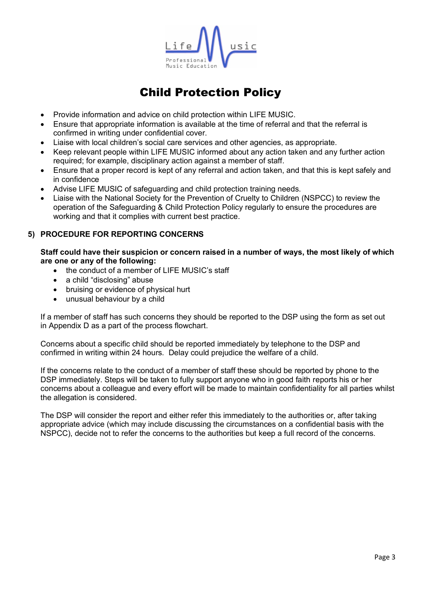

- Provide information and advice on child protection within LIFE MUSIC.
- Ensure that appropriate information is available at the time of referral and that the referral is confirmed in writing under confidential cover.
- Liaise with local children's social care services and other agencies, as appropriate.
- Keep relevant people within LIFE MUSIC informed about any action taken and any further action required; for example, disciplinary action against a member of staff.
- Ensure that a proper record is kept of any referral and action taken, and that this is kept safely and in confidence
- Advise LIFE MUSIC of safeguarding and child protection training needs.
- Liaise with the National Society for the Prevention of Cruelty to Children (NSPCC) to review the operation of the Safeguarding & Child Protection Policy regularly to ensure the procedures are working and that it complies with current best practice.

### **5) PROCEDURE FOR REPORTING CONCERNS**

**Staff could have their suspicion or concern raised in a number of ways, the most likely of which are one or any of the following:**

- the conduct of a member of LIFE MUSIC's staff
- a child "disclosing" abuse
- bruising or evidence of physical hurt
- unusual behaviour by a child

If a member of staff has such concerns they should be reported to the DSP using the form as set out in [Appendix D](http://www.abrsm.org/regions/fileadmin/user_upload/emails/images/headerimages/appendixD.pdf) as a part of the [process flowchart.](http://www.abrsm.org/?page=help/childProtection8.html)

Concerns about a specific child should be reported immediately by telephone to the DSP and confirmed in writing within 24 hours. Delay could prejudice the welfare of a child.

If the concerns relate to the conduct of a member of staff these should be reported by phone to the DSP immediately. Steps will be taken to fully support anyone who in good faith reports his or her concerns about a colleague and every effort will be made to maintain confidentiality for all parties whilst the allegation is considered.

The DSP will consider the report and either refer this immediately to the authorities or, after taking appropriate advice (which may include discussing the circumstances on a confidential basis with the NSPCC), decide not to refer the concerns to the authorities but keep a full record of the concerns.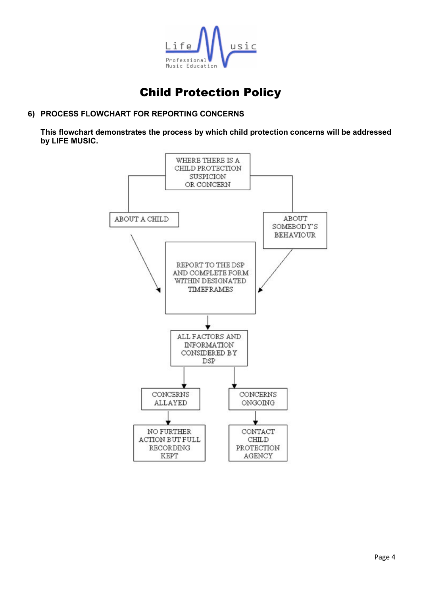

## **6) PROCESS FLOWCHART FOR REPORTING CONCERNS**

**This flowchart demonstrates the process by which child protection concerns will be addressed by LIFE MUSIC.**

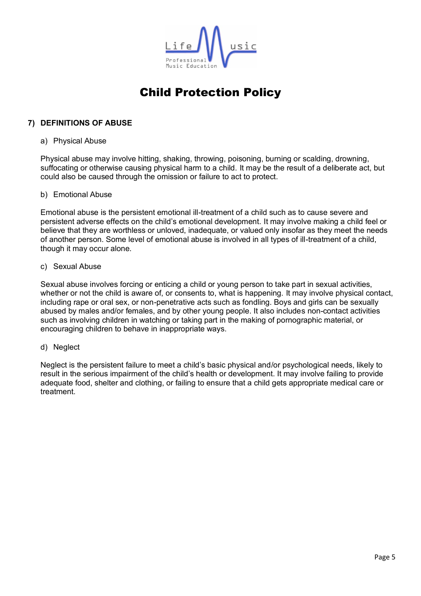

### **7) DEFINITIONS OF ABUSE**

#### a) Physical Abuse

Physical abuse may involve hitting, shaking, throwing, poisoning, burning or scalding, drowning, suffocating or otherwise causing physical harm to a child. It may be the result of a deliberate act, but could also be caused through the omission or failure to act to protect.

### b) Emotional Abuse

Emotional abuse is the persistent emotional ill-treatment of a child such as to cause severe and persistent adverse effects on the child's emotional development. It may involve making a child feel or believe that they are worthless or unloved, inadequate, or valued only insofar as they meet the needs of another person. Some level of emotional abuse is involved in all types of ill-treatment of a child, though it may occur alone.

### c) Sexual Abuse

Sexual abuse involves forcing or enticing a child or young person to take part in sexual activities, whether or not the child is aware of, or consents to, what is happening. It may involve physical contact, including rape or oral sex, or non-penetrative acts such as fondling. Boys and girls can be sexually abused by males and/or females, and by other young people. It also includes non-contact activities such as involving children in watching or taking part in the making of pornographic material, or encouraging children to behave in inappropriate ways.

### d) Neglect

Neglect is the persistent failure to meet a child's basic physical and/or psychological needs, likely to result in the serious impairment of the child's health or development. It may involve failing to provide adequate food, shelter and clothing, or failing to ensure that a child gets appropriate medical care or treatment.